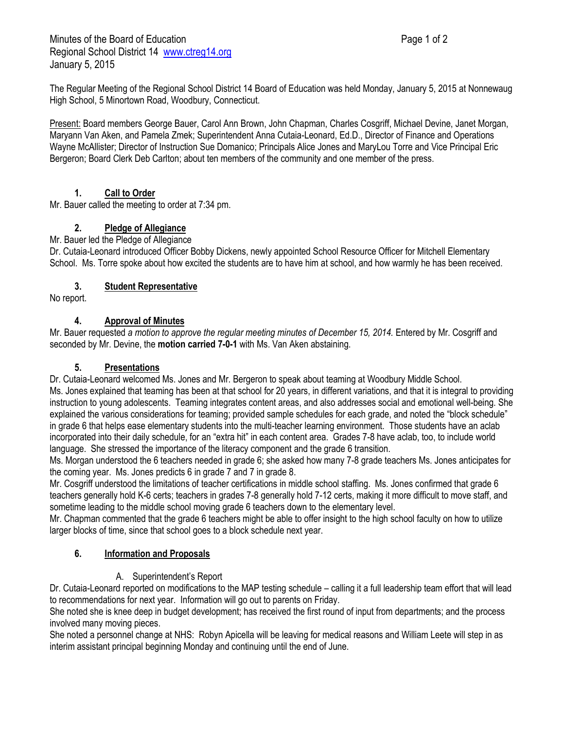Minutes of the Board of Education **Page 1 of 2** and 2 Regional School District 14 [www.ctreg14.org](http://www.ctreg14.org/) January 5, 2015

The Regular Meeting of the Regional School District 14 Board of Education was held Monday, January 5, 2015 at Nonnewaug High School, 5 Minortown Road, Woodbury, Connecticut.

Present: Board members George Bauer, Carol Ann Brown, John Chapman, Charles Cosgriff, Michael Devine, Janet Morgan, Maryann Van Aken, and Pamela Zmek; Superintendent Anna Cutaia-Leonard, Ed.D., Director of Finance and Operations Wayne McAllister; Director of Instruction Sue Domanico; Principals Alice Jones and MaryLou Torre and Vice Principal Eric Bergeron; Board Clerk Deb Carlton; about ten members of the community and one member of the press.

# **1. Call to Order**

Mr. Bauer called the meeting to order at 7:34 pm.

# **2. Pledge of Allegiance**

#### Mr. Bauer led the Pledge of Allegiance

Dr. Cutaia-Leonard introduced Officer Bobby Dickens, newly appointed School Resource Officer for Mitchell Elementary School. Ms. Torre spoke about how excited the students are to have him at school, and how warmly he has been received.

# **3. Student Representative**

No report.

## **4. Approval of Minutes**

Mr. Bauer requested *a motion to approve the regular meeting minutes of December 15, 2014.* Entered by Mr. Cosgriff and seconded by Mr. Devine, the **motion carried 7-0-1** with Ms. Van Aken abstaining.

## **5. Presentations**

Dr. Cutaia-Leonard welcomed Ms. Jones and Mr. Bergeron to speak about teaming at Woodbury Middle School. Ms. Jones explained that teaming has been at that school for 20 years, in different variations, and that it is integral to providing instruction to young adolescents. Teaming integrates content areas, and also addresses social and emotional well-being. She explained the various considerations for teaming; provided sample schedules for each grade, and noted the "block schedule" in grade 6 that helps ease elementary students into the multi-teacher learning environment. Those students have an aclab incorporated into their daily schedule, for an "extra hit" in each content area. Grades 7-8 have aclab, too, to include world language. She stressed the importance of the literacy component and the grade 6 transition.

Ms. Morgan understood the 6 teachers needed in grade 6; she asked how many 7-8 grade teachers Ms. Jones anticipates for the coming year. Ms. Jones predicts 6 in grade 7 and 7 in grade 8.

Mr. Cosgriff understood the limitations of teacher certifications in middle school staffing. Ms. Jones confirmed that grade 6 teachers generally hold K-6 certs; teachers in grades 7-8 generally hold 7-12 certs, making it more difficult to move staff, and sometime leading to the middle school moving grade 6 teachers down to the elementary level.

Mr. Chapman commented that the grade 6 teachers might be able to offer insight to the high school faculty on how to utilize larger blocks of time, since that school goes to a block schedule next year.

## **6. Information and Proposals**

## A. Superintendent's Report

Dr. Cutaia-Leonard reported on modifications to the MAP testing schedule – calling it a full leadership team effort that will lead to recommendations for next year. Information will go out to parents on Friday.

She noted she is knee deep in budget development; has received the first round of input from departments; and the process involved many moving pieces.

She noted a personnel change at NHS: Robyn Apicella will be leaving for medical reasons and William Leete will step in as interim assistant principal beginning Monday and continuing until the end of June.